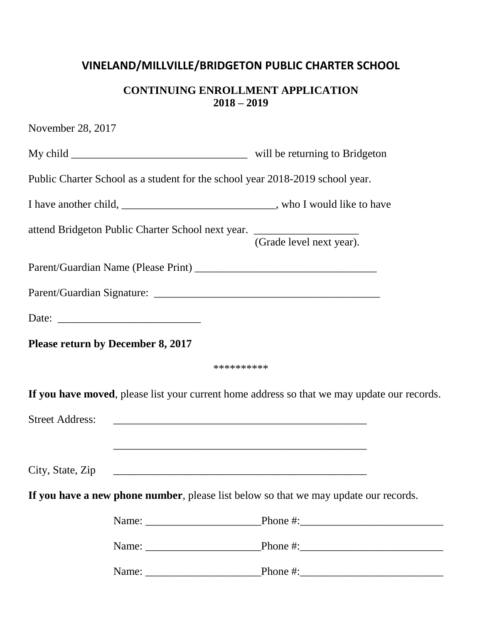## **VINELAND/MILLVILLE/BRIDGETON PUBLIC CHARTER SCHOOL**

## **CONTINUING ENROLLMENT APPLICATION 2018 – 2019**

| November 28, 2017                 |                                                                                                                       |
|-----------------------------------|-----------------------------------------------------------------------------------------------------------------------|
|                                   |                                                                                                                       |
|                                   | Public Charter School as a student for the school year 2018-2019 school year.                                         |
|                                   | I have another child, ___________________________________, who I would like to have                                   |
|                                   | attend Bridgeton Public Charter School next year. ______________________________<br>(Grade level next year).          |
|                                   |                                                                                                                       |
|                                   |                                                                                                                       |
|                                   |                                                                                                                       |
| Please return by December 8, 2017 |                                                                                                                       |
|                                   | **********                                                                                                            |
|                                   | If you have moved, please list your current home address so that we may update our records.                           |
| <b>Street Address:</b>            |                                                                                                                       |
|                                   | <u> 1989 - Johann Stoff, deutscher Stoff, der Stoff, der Stoff, der Stoff, der Stoff, der Stoff, der Stoff, der S</u> |
| City, State, Zip                  |                                                                                                                       |
|                                   | If you have a new phone number, please list below so that we may update our records.                                  |
|                                   |                                                                                                                       |
|                                   |                                                                                                                       |
|                                   |                                                                                                                       |